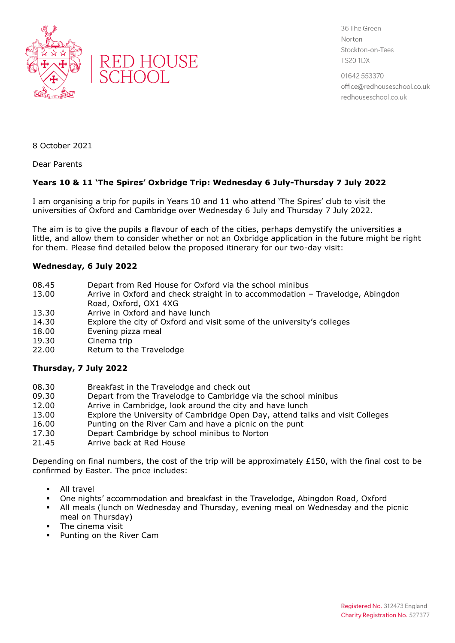



36 The Green Norton Stockton-on-Tees **TS20 1DX** 

01642 553370 office@redhouseschool.co.uk redhouseschool.co.uk

8 October 2021

Dear Parents

## **Years 10 & 11 'The Spires' Oxbridge Trip: Wednesday 6 July-Thursday 7 July 2022**

I am organising a trip for pupils in Years 10 and 11 who attend 'The Spires' club to visit the universities of Oxford and Cambridge over Wednesday 6 July and Thursday 7 July 2022.

The aim is to give the pupils a flavour of each of the cities, perhaps demystify the universities a little, and allow them to consider whether or not an Oxbridge application in the future might be right for them. Please find detailed below the proposed itinerary for our two-day visit:

## **Wednesday, 6 July 2022**

- 08.45 Depart from Red House for Oxford via the school minibus
- 13.00 Arrive in Oxford and check straight in to accommodation Travelodge, Abingdon Road, Oxford, OX1 4XG
- 13.30 Arrive in Oxford and have lunch<br>14.30 Explore the city of Oxford and vi
- 14.30 Explore the city of Oxford and visit some of the university's colleges 18.00 Evening pizza meal
- Evening pizza meal
- 19.30 Cinema trip
- 22.00 Return to the Travelodge

## **Thursday, 7 July 2022**

- 08.30 Breakfast in the Travelodge and check out
- 09.30 Depart from the Travelodge to Cambridge via the school minibus
- 12.00 Arrive in Cambridge, look around the city and have lunch
- 13.00 Explore the University of Cambridge Open Day, attend talks and visit Colleges
- 16.00 Punting on the River Cam and have a picnic on the punt
- 17.30 Depart Cambridge by school minibus to Norton<br>21.45 Arrive back at Red House
- Arrive back at Red House

Depending on final numbers, the cost of the trip will be approximately £150, with the final cost to be confirmed by Easter. The price includes:

- All travel
- One nights' accommodation and breakfast in the Travelodge, Abingdon Road, Oxford
- All meals (lunch on Wednesday and Thursday, evening meal on Wednesday and the picnic meal on Thursday)
- The cinema visit
- Punting on the River Cam